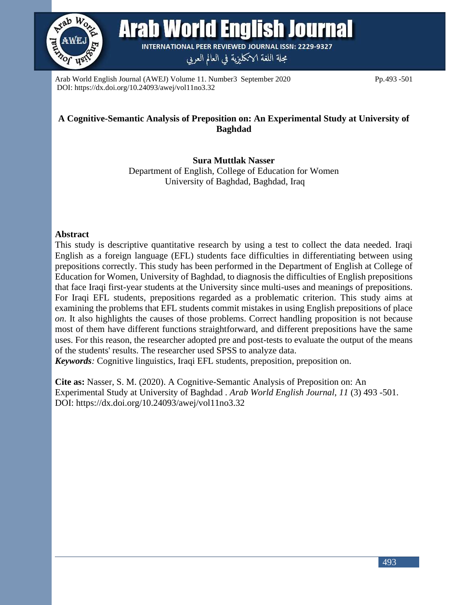

**Arab World English Journal** 

**INTERNATIONAL PEER REVIEWED JOURNAL ISSN: 2229-9327** 

مجلة اللغة الانكليزية في العالم العربي

Arab World English Journal (AWEJ) Volume 11. Number3 September 2020 Pp.493 -501 DOI: https://dx.doi.org/10.24093/awej/vol11no3.32

## **A Cognitive-Semantic Analysis of Preposition on: An Experimental Study at University of Baghdad**

**Sura Muttlak Nasser** Department of English, College of Education for Women University of Baghdad, Baghdad, Iraq

#### **Abstract**

This study is descriptive quantitative research by using a test to collect the data needed. Iraqi English as a foreign language (EFL) students face difficulties in differentiating between using prepositions correctly. This study has been performed in the Department of English at College of Education for Women, University of Baghdad, to diagnosis the difficulties of English prepositions that face Iraqi first-year students at the University since multi-uses and meanings of prepositions. For Iraqi EFL students, prepositions regarded as a problematic criterion. This study aims at examining the problems that EFL students commit mistakes in using English prepositions of place *on*. It also highlights the causes of those problems. Correct handling proposition is not because most of them have different functions straightforward, and different prepositions have the same uses. For this reason, the researcher adopted pre and post-tests to evaluate the output of the means of the students' results. The researcher used SPSS to analyze data.

*Keywords:* Cognitive linguistics, Iraqi EFL students, preposition, preposition on.

**Cite as:** Nasser, S. M. (2020). A Cognitive-Semantic Analysis of Preposition on: An Experimental Study at University of Baghdad . *Arab World English Journal*, *11* (3) 493 -501. DOI: https://dx.doi.org/10.24093/awej/vol11no3.32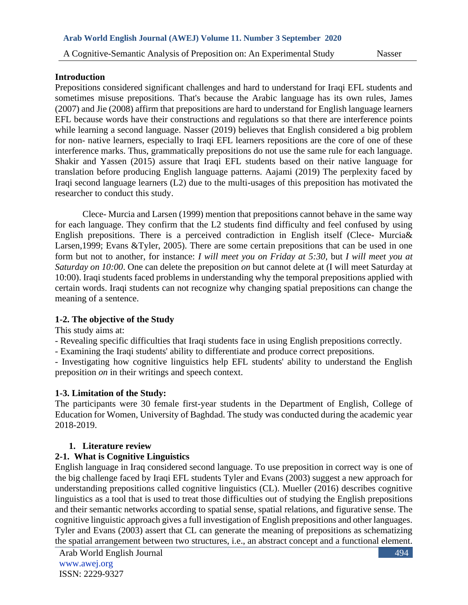#### **Introduction**

Prepositions considered significant challenges and hard to understand for Iraqi EFL students and sometimes misuse prepositions. That's because the Arabic language has its own rules, James (2007) and Jie (2008) affirm that prepositions are hard to understand for English language learners EFL because words have their constructions and regulations so that there are interference points while learning a second language. Nasser (2019) believes that English considered a big problem for non- native learners, especially to Iraqi EFL learners repositions are the core of one of these interference marks. Thus, grammatically prepositions do not use the same rule for each language. Shakir and Yassen (2015) assure that Iraqi EFL students based on their native language for translation before producing English language patterns. Aajami (2019) The perplexity faced by Iraqi second language learners (L2) due to the multi-usages of this preposition has motivated the researcher to conduct this study.

 Clece- Murcia and Larsen (1999) mention that prepositions cannot behave in the same way for each language. They confirm that the L2 students find difficulty and feel confused by using English prepositions. There is a perceived contradiction in English itself (Clece- Murcia& Larsen,1999; Evans &Tyler, 2005). There are some certain prepositions that can be used in one form but not to another, for instance: *I will meet you on Friday at 5:30*, but *I will meet you at Saturday on 10:00*. One can delete the preposition *on* but cannot delete at (I will meet Saturday at 10:00). Iraqi students faced problems in understanding why the temporal prepositions applied with certain words. Iraqi students can not recognize why changing spatial prepositions can change the meaning of a sentence.

## **1-2. The objective of the Study**

This study aims at:

- Revealing specific difficulties that Iraqi students face in using English prepositions correctly.

- Examining the Iraqi students' ability to differentiate and produce correct prepositions.

- Investigating how cognitive linguistics help EFL students' ability to understand the English preposition *on* in their writings and speech context.

## **1-3. Limitation of the Study:**

The participants were 30 female first-year students in the Department of English, College of Education for Women, University of Baghdad. The study was conducted during the academic year 2018-2019.

# **1. Literature review**

# **2-1. What is Cognitive Linguistics**

English language in Iraq considered second language. To use preposition in correct way is one of the big challenge faced by Iraqi EFL students Tyler and Evans (2003) suggest a new approach for understanding prepositions called cognitive linguistics (CL). Mueller (2016) describes cognitive linguistics as a tool that is used to treat those difficulties out of studying the English prepositions and their semantic networks according to spatial sense, spatial relations, and figurative sense. The cognitive linguistic approach gives a full investigation of English prepositions and other languages. Tyler and Evans (2003) assert that CL can generate the meaning of prepositions as schematizing the spatial arrangement between two structures, i.e., an abstract concept and a functional element.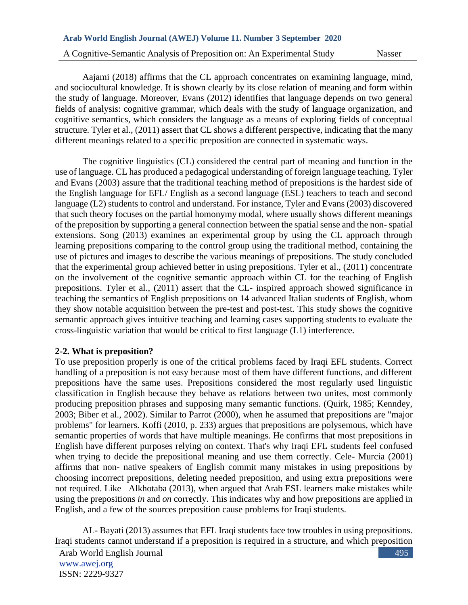Aajami (2018) affirms that the CL approach concentrates on examining language, mind, and sociocultural knowledge. It is shown clearly by its close relation of meaning and form within the study of language. Moreover, Evans (2012) identifies that language depends on two general fields of analysis: cognitive grammar, which deals with the study of language organization, and cognitive semantics, which considers the language as a means of exploring fields of conceptual structure. Tyler et al., (2011) assert that CL shows a different perspective, indicating that the many different meanings related to a specific preposition are connected in systematic ways.

 The cognitive linguistics (CL) considered the central part of meaning and function in the use of language. CL has produced a pedagogical understanding of foreign language teaching. Tyler and Evans (2003) assure that the traditional teaching method of prepositions is the hardest side of the English language for EFL/ English as a second language (ESL) teachers to teach and second language (L2) students to control and understand. For instance, Tyler and Evans (2003) discovered that such theory focuses on the partial homonymy modal, where usually shows different meanings of the preposition by supporting a general connection between the spatial sense and the non- spatial extensions. Song (2013) examines an experimental group by using the CL approach through learning prepositions comparing to the control group using the traditional method, containing the use of pictures and images to describe the various meanings of prepositions. The study concluded that the experimental group achieved better in using prepositions. Tyler et al., (2011) concentrate on the involvement of the cognitive semantic approach within CL for the teaching of English prepositions. Tyler et al., (2011) assert that the CL- inspired approach showed significance in teaching the semantics of English prepositions on 14 advanced Italian students of English, whom they show notable acquisition between the pre-test and post-test. This study shows the cognitive semantic approach gives intuitive teaching and learning cases supporting students to evaluate the cross-linguistic variation that would be critical to first language (L1) interference.

## **2-2. What is preposition?**

To use preposition properly is one of the critical problems faced by Iraqi EFL students. Correct handling of a preposition is not easy because most of them have different functions, and different prepositions have the same uses. Prepositions considered the most regularly used linguistic classification in English because they behave as relations between two unites, most commonly producing preposition phrases and supposing many semantic functions. (Quirk, 1985; Kenndey, 2003; Biber et al., 2002). Similar to Parrot (2000), when he assumed that prepositions are "major problems" for learners. Koffi (2010, p. 233) argues that prepositions are polysemous, which have semantic properties of words that have multiple meanings. He confirms that most prepositions in English have different purposes relying on context. That's why Iraqi EFL students feel confused when trying to decide the prepositional meaning and use them correctly. Cele- Murcia (2001) affirms that non- native speakers of English commit many mistakes in using prepositions by choosing incorrect prepositions, deleting needed preposition, and using extra prepositions were not required. Like Alkhotaba (2013), when argued that Arab ESL learners make mistakes while using the prepositions *in* and *on* correctly. This indicates why and how prepositions are applied in English, and a few of the sources preposition cause problems for Iraqi students.

 AL- Bayati (2013) assumes that EFL Iraqi students face tow troubles in using prepositions. Iraqi students cannot understand if a preposition is required in a structure, and which preposition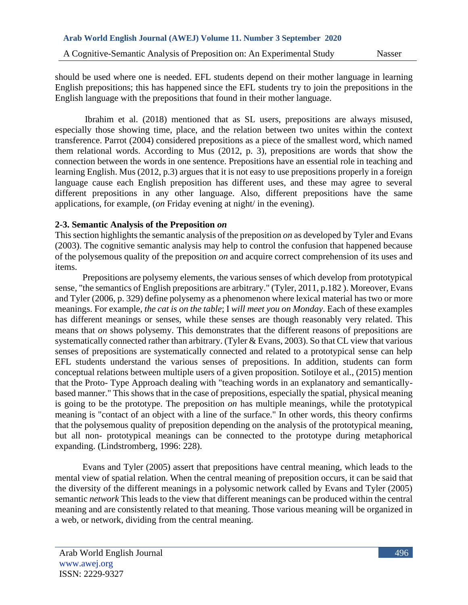should be used where one is needed. EFL students depend on their mother language in learning English prepositions; this has happened since the EFL students try to join the prepositions in the English language with the prepositions that found in their mother language.

 Ibrahim et al. (2018) mentioned that as SL users, prepositions are always misused, especially those showing time, place, and the relation between two unites within the context transference. Parrot (2004) considered prepositions as a piece of the smallest word, which named them relational words. According to Mus (2012, p. 3), prepositions are words that show the connection between the words in one sentence. Prepositions have an essential role in teaching and learning English. Mus (2012, p.3) argues that it is not easy to use prepositions properly in a foreign language cause each English preposition has different uses, and these may agree to several different prepositions in any other language. Also, different prepositions have the same applications, for example, (*on* Friday evening at night/ in the evening).

## **2-3. Semantic Analysis of the Preposition** *on*

This section highlights the semantic analysis of the preposition *on* as developed by Tyler and Evans (2003). The cognitive semantic analysis may help to control the confusion that happened because of the polysemous quality of the preposition *on* and acquire correct comprehension of its uses and items.

 Prepositions are polysemy elements, the various senses of which develop from prototypical sense, "the semantics of English prepositions are arbitrary." (Tyler, 2011, p.182 ). Moreover, Evans and Tyler (2006, p. 329) define polysemy as a phenomenon where lexical material has two or more meanings. For example, *the cat is on the table*; I *will meet you on Monday*. Each of these examples has different meanings or senses, while these senses are though reasonably very related. This means that *on* shows polysemy. This demonstrates that the different reasons of prepositions are systematically connected rather than arbitrary. (Tyler & Evans, 2003). So that CL view that various senses of prepositions are systematically connected and related to a prototypical sense can help EFL students understand the various senses of prepositions. In addition, students can form conceptual relations between multiple users of a given proposition. Sotiloye et al., (2015) mention that the Proto- Type Approach dealing with "teaching words in an explanatory and semanticallybased manner." This shows that in the case of prepositions, especially the spatial, physical meaning is going to be the prototype. The preposition *on* has multiple meanings, while the prototypical meaning is "contact of an object with a line of the surface." In other words, this theory confirms that the polysemous quality of preposition depending on the analysis of the prototypical meaning, but all non- prototypical meanings can be connected to the prototype during metaphorical expanding. (Lindstromberg, 1996: 228).

 Evans and Tyler (2005) assert that prepositions have central meaning, which leads to the mental view of spatial relation. When the central meaning of preposition occurs, it can be said that the diversity of the different meanings in a polysomic network called by Evans and Tyler (2005) semantic *network* This leads to the view that different meanings can be produced within the central meaning and are consistently related to that meaning. Those various meaning will be organized in a web, or network, dividing from the central meaning.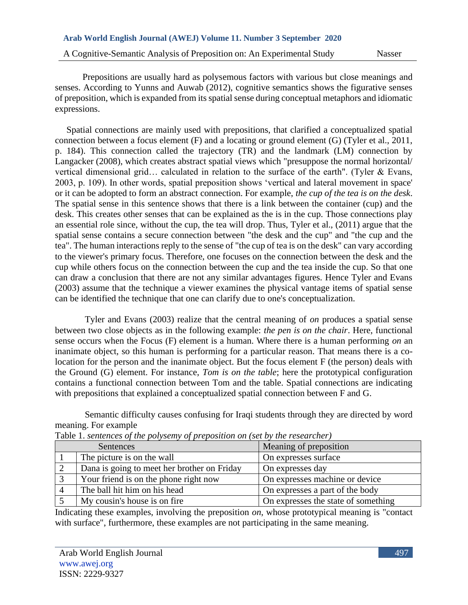Prepositions are usually hard as polysemous factors with various but close meanings and senses. According to Yunns and Auwab (2012), cognitive semantics shows the figurative senses of preposition, which is expanded from its spatial sense during conceptual metaphors and idiomatic expressions.

 Spatial connections are mainly used with prepositions, that clarified a conceptualized spatial connection between a focus element (F) and a locating or ground element (G) (Tyler et al., 2011, p. 184). This connection called the trajectory (TR) and the landmark (LM) connection by Langacker (2008), which creates abstract spatial views which "presuppose the normal horizontal/ vertical dimensional grid… calculated in relation to the surface of the earth". (Tyler & Evans, 2003, p. 109). In other words, spatial preposition shows 'vertical and lateral movement in space' or it can be adopted to form an abstract connection. For example, *the cup of the tea is on the desk*. The spatial sense in this sentence shows that there is a link between the container (cup) and the desk. This creates other senses that can be explained as the is in the cup. Those connections play an essential role since, without the cup, the tea will drop. Thus, Tyler et al., (2011) argue that the spatial sense contains a secure connection between "the desk and the cup" and "the cup and the tea". The human interactions reply to the sense of "the cup of tea is on the desk" can vary according to the viewer's primary focus. Therefore, one focuses on the connection between the desk and the cup while others focus on the connection between the cup and the tea inside the cup. So that one can draw a conclusion that there are not any similar advantages figures. Hence Tyler and Evans (2003) assume that the technique a viewer examines the physical vantage items of spatial sense can be identified the technique that one can clarify due to one's conceptualization.

Tyler and Evans (2003) realize that the central meaning of *on* produces a spatial sense between two close objects as in the following example: *the pen is on the chair*. Here, functional sense occurs when the Focus (F) element is a human. Where there is a human performing *on* an inanimate object, so this human is performing for a particular reason. That means there is a colocation for the person and the inanimate object. But the focus element F (the person) deals with the Ground (G) element. For instance, *Tom is on the table*; here the prototypical configuration contains a functional connection between Tom and the table. Spatial connections are indicating with prepositions that explained a conceptualized spatial connection between F and G.

Semantic difficulty causes confusing for Iraqi students through they are directed by word meaning. For example

| Sentences                                   | Meaning of preposition              |
|---------------------------------------------|-------------------------------------|
| The picture is on the wall                  | On expresses surface                |
| Dana is going to meet her brother on Friday | On expresses day                    |
| Your friend is on the phone right now       | On expresses machine or device      |
| The ball hit him on his head                | On expresses a part of the body     |
| My cousin's house is on fire.               | On expresses the state of something |

Table 1. *sentences of the polysemy of preposition on (set by the researcher)*

Indicating these examples, involving the preposition *on*, whose prototypical meaning is "contact with surface", furthermore, these examples are not participating in the same meaning.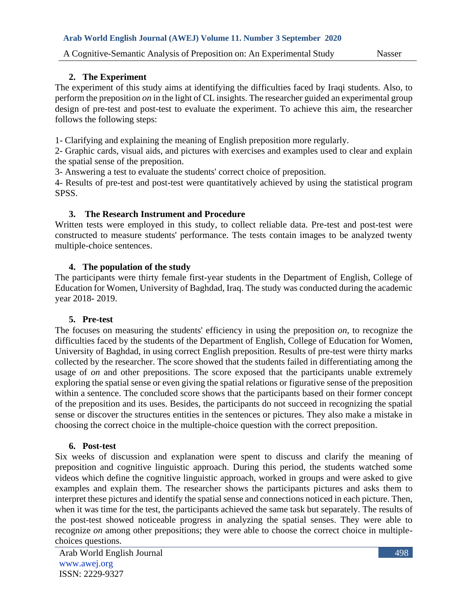## **2. The Experiment**

The experiment of this study aims at identifying the difficulties faced by Iraqi students. Also, to perform the preposition *on* in the light of CL insights. The researcher guided an experimental group design of pre-test and post-test to evaluate the experiment. To achieve this aim, the researcher follows the following steps:

1- Clarifying and explaining the meaning of English preposition more regularly.

2- Graphic cards, visual aids, and pictures with exercises and examples used to clear and explain the spatial sense of the preposition.

3- Answering a test to evaluate the students' correct choice of preposition.

4- Results of pre-test and post-test were quantitatively achieved by using the statistical program SPSS.

## **3. The Research Instrument and Procedure**

Written tests were employed in this study, to collect reliable data. Pre-test and post-test were constructed to measure students' performance. The tests contain images to be analyzed twenty multiple-choice sentences.

# **4. The population of the study**

The participants were thirty female first-year students in the Department of English, College of Education for Women, University of Baghdad, Iraq. The study was conducted during the academic year 2018- 2019.

## **5. Pre-test**

The focuses on measuring the students' efficiency in using the preposition *on*, to recognize the difficulties faced by the students of the Department of English, College of Education for Women, University of Baghdad, in using correct English preposition. Results of pre-test were thirty marks collected by the researcher. The score showed that the students failed in differentiating among the usage of *on* and other prepositions. The score exposed that the participants unable extremely exploring the spatial sense or even giving the spatial relations or figurative sense of the preposition within a sentence. The concluded score shows that the participants based on their former concept of the preposition and its uses. Besides, the participants do not succeed in recognizing the spatial sense or discover the structures entities in the sentences or pictures. They also make a mistake in choosing the correct choice in the multiple-choice question with the correct preposition.

## **6. Post-test**

Six weeks of discussion and explanation were spent to discuss and clarify the meaning of preposition and cognitive linguistic approach. During this period, the students watched some videos which define the cognitive linguistic approach, worked in groups and were asked to give examples and explain them. The researcher shows the participants pictures and asks them to interpret these pictures and identify the spatial sense and connections noticed in each picture. Then, when it was time for the test, the participants achieved the same task but separately. The results of the post-test showed noticeable progress in analyzing the spatial senses. They were able to recognize *on* among other prepositions; they were able to choose the correct choice in multiplechoices questions.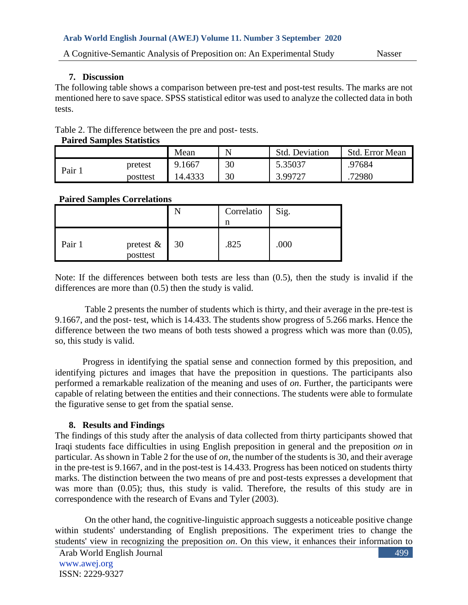## **7. Discussion**

The following table shows a comparison between pre-test and post-test results. The marks are not mentioned here to save space. SPSS statistical editor was used to analyze the collected data in both tests.

Table 2. The difference between the pre and post- tests.

#### **Paired Samples Statistics**

|       |          | Mean    | N  | <b>Std. Deviation</b> | Std. Error Mean |
|-------|----------|---------|----|-----------------------|-----------------|
| Pair. | pretest  | 9.1667  | 30 | 5.35037               | .97684          |
|       | posttest | 14.4333 | 30 | 3.99727               | 72980           |

## **Paired Samples Correlations**

|        |                          | Correlatio | Sig. |
|--------|--------------------------|------------|------|
| Pair 1 | pretest & 30<br>posttest | .825       | .000 |

Note: If the differences between both tests are less than (0.5), then the study is invalid if the differences are more than (0.5) then the study is valid.

 Table 2 presents the number of students which is thirty, and their average in the pre-test is 9.1667, and the post- test, which is 14.433. The students show progress of 5.266 marks. Hence the difference between the two means of both tests showed a progress which was more than (0.05), so, this study is valid.

Progress in identifying the spatial sense and connection formed by this preposition, and identifying pictures and images that have the preposition in questions. The participants also performed a remarkable realization of the meaning and uses of *on*. Further, the participants were capable of relating between the entities and their connections. The students were able to formulate the figurative sense to get from the spatial sense.

# **8. Results and Findings**

The findings of this study after the analysis of data collected from thirty participants showed that Iraqi students face difficulties in using English preposition in general and the preposition *on* in particular. As shown in Table 2 for the use of *on*, the number of the students is 30, and their average in the pre-test is 9.1667, and in the post-test is 14.433. Progress has been noticed on students thirty marks. The distinction between the two means of pre and post-tests expresses a development that was more than (0.05); thus, this study is valid. Therefore, the results of this study are in correspondence with the research of Evans and Tyler (2003).

 On the other hand, the cognitive-linguistic approach suggests a noticeable positive change within students' understanding of English prepositions. The experiment tries to change the students' view in recognizing the preposition *on*. On this view, it enhances their information to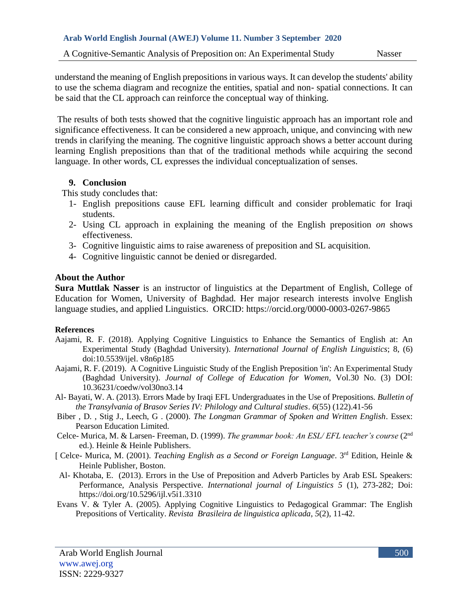understand the meaning of English prepositions in various ways. It can develop the students' ability to use the schema diagram and recognize the entities, spatial and non- spatial connections. It can be said that the CL approach can reinforce the conceptual way of thinking.

The results of both tests showed that the cognitive linguistic approach has an important role and significance effectiveness. It can be considered a new approach, unique, and convincing with new trends in clarifying the meaning. The cognitive linguistic approach shows a better account during learning English prepositions than that of the traditional methods while acquiring the second language. In other words, CL expresses the individual conceptualization of senses.

#### **9. Conclusion**

This study concludes that:

- 1- English prepositions cause EFL learning difficult and consider problematic for Iraqi students.
- 2- Using CL approach in explaining the meaning of the English preposition *on* shows effectiveness.
- 3- Cognitive linguistic aims to raise awareness of preposition and SL acquisition.
- 4- Cognitive linguistic cannot be denied or disregarded.

## **About the Author**

**Sura Muttlak Nasser** is an instructor of linguistics at the Department of English, College of Education for Women, University of Baghdad. Her major research interests involve English language studies, and applied Linguistics. ORCID: https://orcid.org/0000-0003-0267-9865

#### **References**

- Aajami, R. F. (2018). Applying Cognitive Linguistics to Enhance the Semantics of English at: An Experimental Study (Baghdad University). *International Journal of English Linguistics*; 8, (6) doi:10.5539/ijel. v8n6p185
- Aajami, R. F. (2019). A Cognitive Linguistic Study of the English Preposition 'in': An Experimental Study (Baghdad University). *Journal of College of Education for Women*, Vol.30 No. (3) DOI: 10.36231/coedw/vol30no3.14
- Al- Bayati, W. A. (2013). Errors Made by Iraqi EFL Undergraduates in the Use of Prepositions*. Bulletin of the Transylvania of Brasov Series IV: Philology and Cultural studies*. *6*(55) (122).41-56
- Biber , D. , Stig J., Leech, G . (2000). *The Longman Grammar of Spoken and Written English*. Essex: Pearson Education Limited.
- Celce- Murica, M. & Larsen- Freeman, D. (1999). *The grammar book: An ESL/ EFL teacher's course* (2nd ed.). Heinle & Heinle Publishers.
- [ Celce- Murica, M. (2001). *Teaching English as a Second or Foreign Language*. 3rd Edition, Heinle & Heinle Publisher, Boston.
- Al- Khotaba, E. (2013). Errors in the Use of Preposition and Adverb Particles by Arab ESL Speakers: Performance, Analysis Perspective. *International journal of Linguistics 5* (1), 273-282; Doi: <https://doi.org/10.5296/ijl.v5i1.3310>
- Evans V. & Tyler A. (2005). Applying Cognitive Linguistics to Pedagogical Grammar: The English Prepositions of Verticality. *Revista Brasileira de linguistica aplicada*, *5*(2), 11-42.